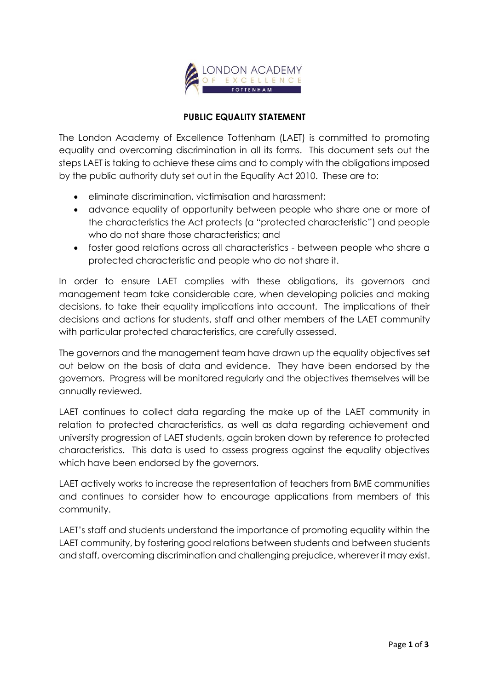

## **PUBLIC EQUALITY STATEMENT**

The London Academy of Excellence Tottenham (LAET) is committed to promoting equality and overcoming discrimination in all its forms. This document sets out the steps LAET is taking to achieve these aims and to comply with the obligations imposed by the public authority duty set out in the Equality Act 2010. These are to:

- eliminate discrimination, victimisation and harassment;
- advance equality of opportunity between people who share one or more of the characteristics the Act protects (a "protected characteristic") and people who do not share those characteristics; and
- foster good relations across all characteristics between people who share a protected characteristic and people who do not share it.

In order to ensure LAET complies with these obligations, its governors and management team take considerable care, when developing policies and making decisions, to take their equality implications into account. The implications of their decisions and actions for students, staff and other members of the LAET community with particular protected characteristics, are carefully assessed.

The governors and the management team have drawn up the equality objectives set out below on the basis of data and evidence. They have been endorsed by the governors. Progress will be monitored regularly and the objectives themselves will be annually reviewed.

LAET continues to collect data regarding the make up of the LAET community in relation to protected characteristics, as well as data regarding achievement and university progression of LAET students, again broken down by reference to protected characteristics. This data is used to assess progress against the equality objectives which have been endorsed by the governors.

LAET actively works to increase the representation of teachers from BME communities and continues to consider how to encourage applications from members of this community.

LAET's staff and students understand the importance of promoting equality within the LAET community, by fostering good relations between students and between students and staff, overcoming discrimination and challenging prejudice, wherever it may exist.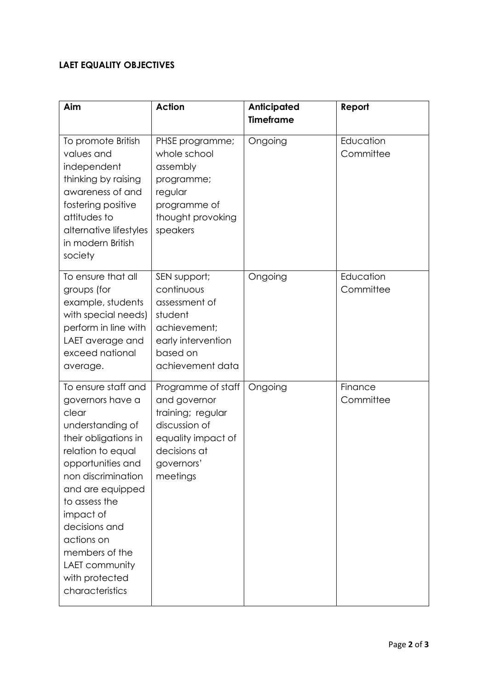## **LAET EQUALITY OBJECTIVES**

| Aim                                                                                                                                                                                                                                                                                                                    | <b>Action</b>                                                                                                                            | <b>Anticipated</b><br><b>Timeframe</b> | Report                 |
|------------------------------------------------------------------------------------------------------------------------------------------------------------------------------------------------------------------------------------------------------------------------------------------------------------------------|------------------------------------------------------------------------------------------------------------------------------------------|----------------------------------------|------------------------|
| To promote British<br>values and<br>independent<br>thinking by raising<br>awareness of and<br>fostering positive<br>attitudes to<br>alternative lifestyles<br>in modern British<br>society                                                                                                                             | PHSE programme;<br>whole school<br>assembly<br>programme;<br>regular<br>programme of<br>thought provoking<br>speakers                    | Ongoing                                | Education<br>Committee |
| To ensure that all<br>groups (for<br>example, students<br>with special needs)<br>perform in line with<br>LAET average and<br>exceed national<br>average.                                                                                                                                                               | SEN support;<br>continuous<br>assessment of<br>student<br>achievement;<br>early intervention<br>based on<br>achievement data             | Ongoing                                | Education<br>Committee |
| To ensure staff and<br>governors have a<br>clear<br>understanding of<br>their obligations in<br>relation to equal<br>opportunities and<br>non discrimination<br>and are equipped<br>to assess the<br>impact of<br>decisions and<br>actions on<br>members of the<br>LAET community<br>with protected<br>characteristics | Programme of staff<br>and governor<br>training; regular<br>discussion of<br>equality impact of<br>decisions at<br>governors'<br>meetings | Ongoing                                | Finance<br>Committee   |